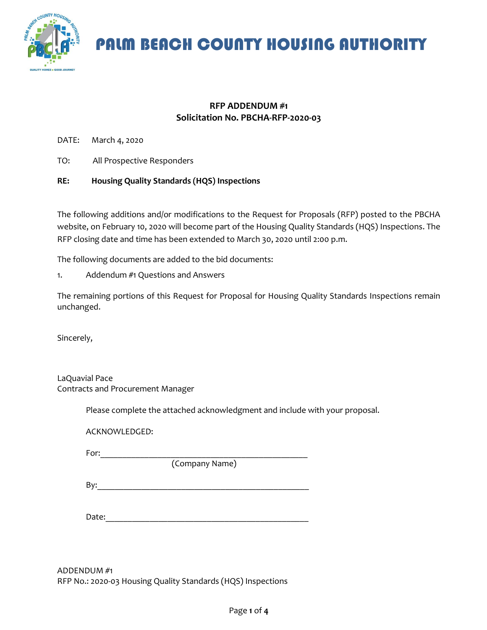

## **RFP ADDENDUM #1 Solicitation No. PBCHA-RFP-2020-03**

DATE: March 4, 2020

TO: All Prospective Responders

#### **RE: Housing Quality Standards (HQS) Inspections**

The following additions and/or modifications to the Request for Proposals (RFP) posted to the PBCHA website, on February 10, 2020 will become part of the Housing Quality Standards (HQS) Inspections. The RFP closing date and time has been extended to March 30, 2020 until 2:00 p.m.

The following documents are added to the bid documents:

1. Addendum #1 Questions and Answers

The remaining portions of this Request for Proposal for Housing Quality Standards Inspections remain unchanged.

Sincerely,

LaQuavial Pace Contracts and Procurement Manager

Please complete the attached acknowledgment and include with your proposal.

ACKNOWLEDGED:

For:\_\_\_\_\_\_\_\_\_\_\_\_\_\_\_\_\_\_\_\_\_\_\_\_\_\_\_\_\_\_\_\_\_\_\_\_\_\_\_\_\_\_\_\_\_\_\_

(Company Name)

By:\_\_\_\_\_\_\_\_\_\_\_\_\_\_\_\_\_\_\_\_\_\_\_\_\_\_\_\_\_\_\_\_\_\_\_\_\_\_\_\_\_\_\_\_\_\_\_\_

Date:

ADDENDUM #1 RFP No.: 2020-03 Housing Quality Standards (HQS) Inspections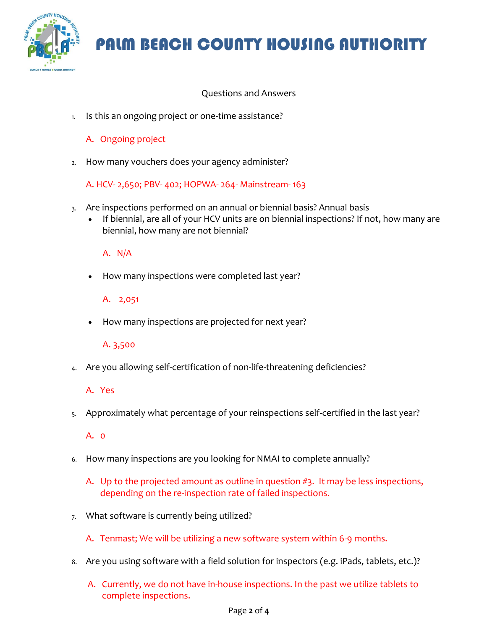

## Questions and Answers

1. Is this an ongoing project or one-time assistance?

## A. Ongoing project

2. How many vouchers does your agency administer?

A. HCV- 2,650; PBV- 402; HOPWA- 264- Mainstream- 163

- 3. Are inspections performed on an annual or biennial basis? Annual basis
	- If biennial, are all of your HCV units are on biennial inspections? If not, how many are biennial, how many are not biennial?

### A. N/A

• How many inspections were completed last year?

#### A. 2,051

• How many inspections are projected for next year?

## A. 3,500

4. Are you allowing self-certification of non-life-threatening deficiencies?

#### A. Yes

5. Approximately what percentage of your reinspections self-certified in the last year?

#### A. 0

- 6. How many inspections are you looking for NMAI to complete annually?
	- A. Up to the projected amount as outline in question #3. It may be less inspections, depending on the re-inspection rate of failed inspections.
- 7. What software is currently being utilized?
	- A. Tenmast; We will be utilizing a new software system within 6-9 months.
- 8. Are you using software with a field solution for inspectors (e.g. iPads, tablets, etc.)?
	- A. Currently, we do not have in-house inspections. In the past we utilize tablets to complete inspections.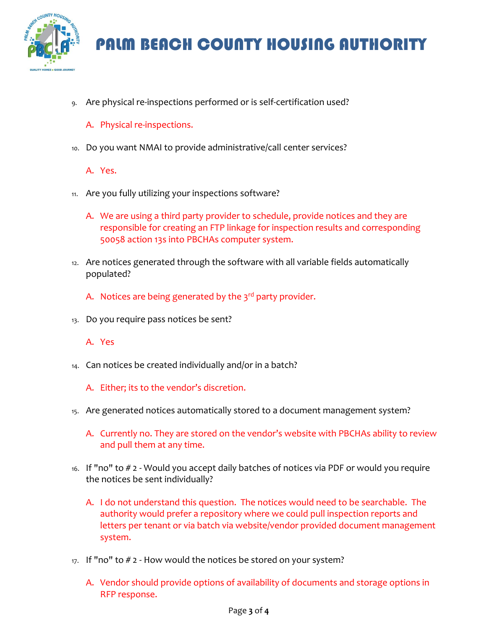

9. Are physical re-inspections performed or is self-certification used?

### A. Physical re-inspections.

10. Do you want NMAI to provide administrative/call center services?

A. Yes.

- 11. Are you fully utilizing your inspections software?
	- A. We are using a third party provider to schedule, provide notices and they are responsible for creating an FTP linkage for inspection results and corresponding 50058 action 13s into PBCHAs computer system.
- 12. Are notices generated through the software with all variable fields automatically populated?
	- A. Notices are being generated by the  $3<sup>rd</sup>$  party provider.
- 13. Do you require pass notices be sent?

A. Yes

- 14. Can notices be created individually and/or in a batch?
	- A. Either; its to the vendor's discretion.
- 15. Are generated notices automatically stored to a document management system?
	- A. Currently no. They are stored on the vendor's website with PBCHAs ability to review and pull them at any time.
- 16. If "no" to # 2 Would you accept daily batches of notices via PDF or would you require the notices be sent individually?
	- A. I do not understand this question. The notices would need to be searchable. The authority would prefer a repository where we could pull inspection reports and letters per tenant or via batch via website/vendor provided document management system.
- $17.$  If "no" to  $# 2$  How would the notices be stored on your system?
	- A. Vendor should provide options of availability of documents and storage options in RFP response.